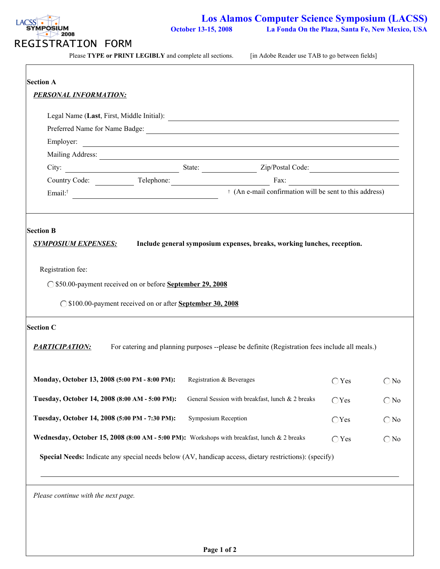

Please **TYPE or PRINT LEGIBLY** and complete all sections. [in Adobe Reader use TAB to go between fields]

| <b>Section A</b>                                           |                                                                                                                      |                                                                                                                      |                |               |  |  |  |
|------------------------------------------------------------|----------------------------------------------------------------------------------------------------------------------|----------------------------------------------------------------------------------------------------------------------|----------------|---------------|--|--|--|
| <b>PERSONAL INFORMATION:</b>                               |                                                                                                                      |                                                                                                                      |                |               |  |  |  |
|                                                            |                                                                                                                      | Legal Name (Last, First, Middle Initial):                                                                            |                |               |  |  |  |
|                                                            |                                                                                                                      | Preferred Name for Name Badge:                                                                                       |                |               |  |  |  |
| Employer:                                                  |                                                                                                                      | <u> 1989 - Johann Barn, amerikan besteman besteman besteman besteman besteman besteman besteman besteman bestema</u> |                |               |  |  |  |
|                                                            |                                                                                                                      |                                                                                                                      |                |               |  |  |  |
|                                                            |                                                                                                                      |                                                                                                                      |                |               |  |  |  |
|                                                            |                                                                                                                      |                                                                                                                      |                |               |  |  |  |
| Email: <sup>†</sup>                                        | <sup>+</sup> (An e-mail confirmation will be sent to this address)<br><u> 1989 - Johann Stein, marwolaethau a bh</u> |                                                                                                                      |                |               |  |  |  |
|                                                            |                                                                                                                      |                                                                                                                      |                |               |  |  |  |
|                                                            |                                                                                                                      |                                                                                                                      |                |               |  |  |  |
| <b>Section B</b>                                           |                                                                                                                      |                                                                                                                      |                |               |  |  |  |
| <b>SYMPOSIUM EXPENSES:</b>                                 |                                                                                                                      | Include general symposium expenses, breaks, working lunches, reception.                                              |                |               |  |  |  |
|                                                            |                                                                                                                      |                                                                                                                      |                |               |  |  |  |
| Registration fee:                                          |                                                                                                                      |                                                                                                                      |                |               |  |  |  |
| ◯ \$50.00-payment received on or before September 29, 2008 |                                                                                                                      |                                                                                                                      |                |               |  |  |  |
|                                                            |                                                                                                                      |                                                                                                                      |                |               |  |  |  |
|                                                            | ◯ \$100.00-payment received on or after September 30, 2008                                                           |                                                                                                                      |                |               |  |  |  |
| <b>Section C</b>                                           |                                                                                                                      |                                                                                                                      |                |               |  |  |  |
|                                                            |                                                                                                                      |                                                                                                                      |                |               |  |  |  |
| <b>PARTICIPATION:</b>                                      |                                                                                                                      | For catering and planning purposes --please be definite (Registration fees include all meals.)                       |                |               |  |  |  |
|                                                            |                                                                                                                      |                                                                                                                      |                |               |  |  |  |
| Monday, October 13, 2008 (5:00 PM - 8:00 PM):              |                                                                                                                      | Registration & Beverages                                                                                             | $\bigcap$ Yes  | $\bigcirc$ No |  |  |  |
|                                                            |                                                                                                                      |                                                                                                                      |                |               |  |  |  |
| Tuesday, October 14, 2008 (8:00 AM - 5:00 PM):             |                                                                                                                      | General Session with breakfast, lunch & 2 breaks                                                                     | $\bigcirc$ Yes | $\bigcirc$ No |  |  |  |
| Tuesday, October 14, 2008 (5:00 PM - 7:30 PM):             |                                                                                                                      | Symposium Reception                                                                                                  | $\bigcirc$ Yes | $\bigcirc$ No |  |  |  |
|                                                            |                                                                                                                      | Wednesday, October 15, 2008 (8:00 AM - 5:00 PM): Workshops with breakfast, lunch & 2 breaks                          | $\bigcirc$ Yes | $\bigcirc$ No |  |  |  |
|                                                            |                                                                                                                      | Special Needs: Indicate any special needs below (AV, handicap access, dietary restrictions): (specify)               |                |               |  |  |  |
|                                                            |                                                                                                                      |                                                                                                                      |                |               |  |  |  |
|                                                            |                                                                                                                      |                                                                                                                      |                |               |  |  |  |
| Please continue with the next page.                        |                                                                                                                      |                                                                                                                      |                |               |  |  |  |
|                                                            |                                                                                                                      |                                                                                                                      |                |               |  |  |  |